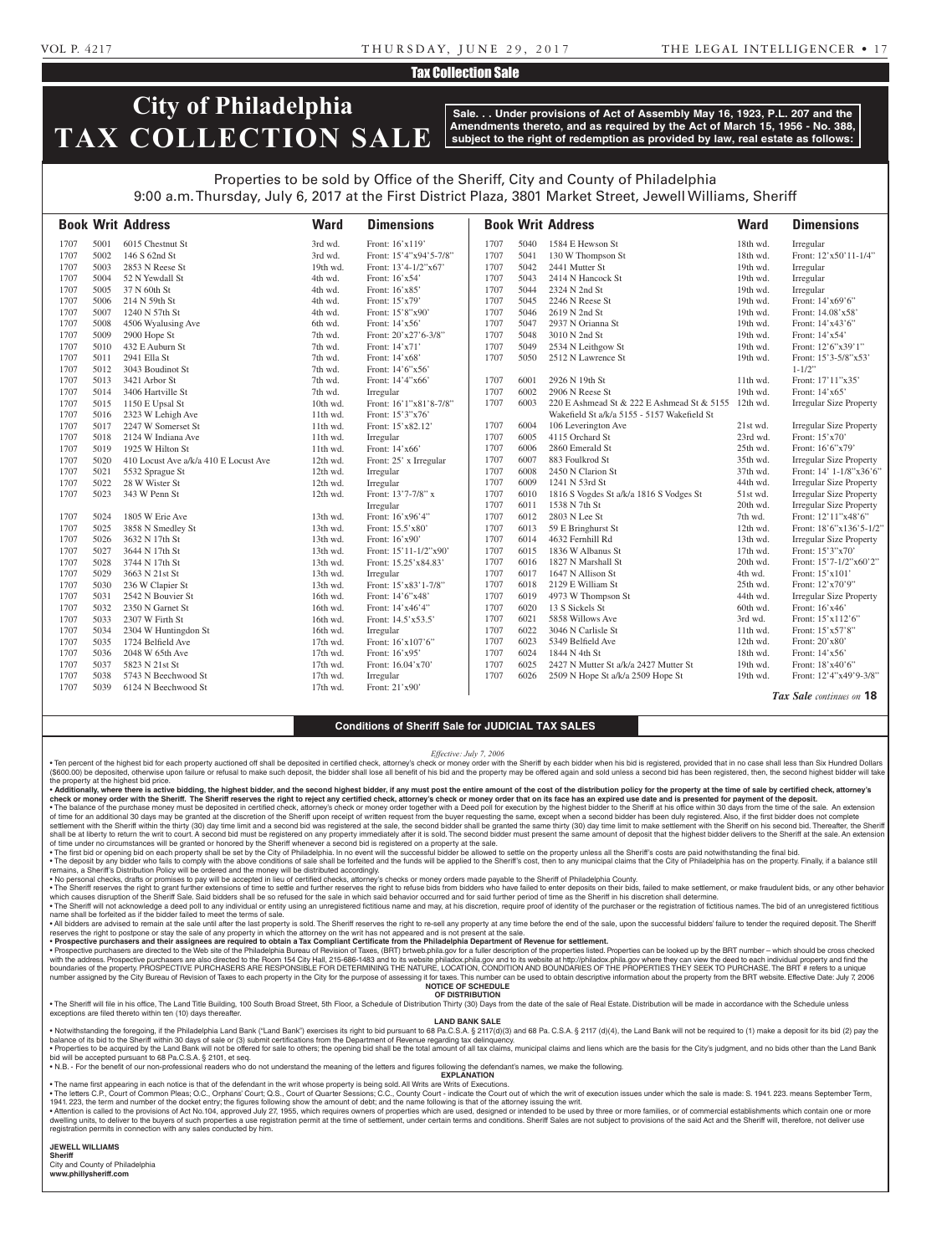#### VOL P. 4217 T H U R S DAY, J U N E 2 9 , 2 0 1 7 THE LEGAL INTELLIGENCER • 1 7

### Tax Collection Sale

# **City of Philadelphia TAX COLLECTION SALE**

**Sale. . . Under provisions of Act of Assembly May 16, 1923, P.L. 207 and the Amendments thereto, and as required by the Act of March 15, 1956 - No. 388, subject to the right of redemption as provided by law, real estate as follows:**

## Properties to be sold by Office of the Sheriff, City and County of Philadelphia 9:00 a.m. Thursday, July 6, 2017 at the First District Plaza, 3801 Market Street, Jewell Williams, Sheriff

|      |      | <b>Book Writ Address</b>              | <b>Ward</b> | <b>Dimensions</b>        |      |      | <b>Book Writ Address</b>                    | <b>Ward</b> | <b>Dimensions</b>              |
|------|------|---------------------------------------|-------------|--------------------------|------|------|---------------------------------------------|-------------|--------------------------------|
| 1707 | 5001 | 6015 Chestnut St                      | 3rd wd.     | Front: 16'x119'          | 1707 | 5040 | 1584 E Hewson St                            | 18th wd.    | Irregular                      |
| 1707 | 5002 | 146 S 62nd St                         | 3rd wd.     | Front: 15'4"x94'5-7/8"   | 1707 | 5041 | 130 W Thompson St                           | 18th wd.    | Front: 12'x50'11-1/4"          |
| 1707 | 5003 | 2853 N Reese St                       | 19th wd.    | Front: 13'4-1/2"x67'     | 1707 | 5042 | 2441 Mutter St                              | 19th wd.    | Irregular                      |
| 1707 | 5004 | 52 N Yewdall St                       | 4th wd.     | Front: 16'x54'           | 1707 | 5043 | 2414 N Hancock St                           | 19th wd.    | Irregular                      |
| 1707 | 5005 | 37 N 60th St                          | 4th wd.     | Front: 16'x85'           | 1707 | 5044 | 2324 N 2nd St                               | 19th wd.    | Irregular                      |
| 1707 | 5006 | 214 N 59th St                         | 4th wd.     | Front: 15'x79'           | 1707 | 5045 | 2246 N Reese St                             | 19th wd.    | Front: 14'x69'6"               |
| 1707 | 5007 | 1240 N 57th St                        | 4th wd.     | Front: 15'8"x90'         | 1707 | 5046 | 2619 N 2nd St                               | 19th wd.    | Front: 14.08'x58'              |
| 1707 | 5008 | 4506 Wyalusing Ave                    | 6th wd.     | Front: 14'x56'           | 1707 | 5047 | 2937 N Orianna St                           | 19th wd.    | Front: 14'x43'6"               |
| 1707 | 5009 | 2900 Hope St                          | 7th wd.     | Front: 20'x27'6-3/8"     | 1707 | 5048 | 3010 N 2nd St                               | 19th wd.    | Front: 14'x54'                 |
| 1707 | 5010 | 432 E Auburn St                       | 7th wd.     | Front: 14'x71'           | 1707 | 5049 | 2534 N Leithgow St                          | 19th wd.    | Front: 12'6"x39'1"             |
| 1707 | 5011 | 2941 Ella St                          | 7th wd.     | Front: 14'x68'           | 1707 | 5050 | 2512 N Lawrence St                          | 19th wd.    | Front: 15'3-5/8"x53'           |
| 1707 | 5012 | 3043 Boudinot St                      | 7th wd.     | Front: 14'6"x56'         |      |      |                                             |             | $1 - 1/2$ "                    |
| 1707 | 5013 | 3421 Arbor St                         | 7th wd.     | Front: 14'4"x66'         | 1707 | 6001 | 2926 N 19th St                              | 11th wd.    | Front: 17'11"x35'              |
| 1707 | 5014 | 3406 Hartville St                     | 7th wd.     | Irregular                | 1707 | 6002 | 2906 N Reese St                             | 19th wd.    | Front: 14'x65'                 |
| 1707 | 5015 | 1150 E Upsal St                       | 10th wd.    | Front: 16'1"x81'8-7/8"   | 1707 | 6003 | 220 E Ashmead St & 222 E Ashmead St & 5155  | 12th wd.    | <b>Irregular Size Property</b> |
| 1707 | 5016 | 2323 W Lehigh Ave                     | 11th wd.    | Front: 15'3"x76'         |      |      | Wakefield St a/k/a 5155 - 5157 Wakefield St |             |                                |
| 1707 | 5017 | 2247 W Somerset St                    | 11th wd.    | Front: 15'x82.12'        | 1707 | 6004 | 106 Leverington Ave                         | 21st wd.    | <b>Irregular Size Property</b> |
| 1707 | 5018 | 2124 W Indiana Ave                    | 11th wd.    | Irregular                | 1707 | 6005 | 4115 Orchard St                             | 23rd wd.    | Front: 15'x70'                 |
| 1707 | 5019 | 1925 W Hilton St                      | 11th wd.    | Front: 14'x66'           | 1707 | 6006 | 2860 Emerald St                             | 25th wd.    | Front: 16'6"x79"               |
| 1707 | 5020 | 410 Locust Ave a/k/a 410 E Locust Ave | 12th wd.    | Front: 25' x Irregular   | 1707 | 6007 | 883 Foulkrod St                             | 35th wd.    | <b>Irregular Size Property</b> |
| 1707 | 5021 | 5532 Sprague St                       | 12th wd.    | Irregular                | 1707 | 6008 | 2450 N Clarion St                           | 37th wd.    | Front: 14' 1-1/8"x36'6"        |
| 1707 | 5022 | 28 W Wister St                        | 12th wd.    | Irregular                | 1707 | 6009 | 1241 N 53rd St                              | 44th wd.    | <b>Irregular Size Property</b> |
| 1707 | 5023 | 343 W Penn St                         | 12th wd.    | Front: 13'7-7/8" x       | 1707 | 6010 | 1816 S Vogdes St a/k/a 1816 S Vodges St     | 51st wd.    | <b>Irregular Size Property</b> |
|      |      |                                       |             | Irregular                | 1707 | 6011 | 1538 N 7th St                               | 20th wd.    | <b>Irregular Size Property</b> |
| 1707 | 5024 | 1805 W Erie Ave                       | 13th wd.    | Front: 16'x96'4"         | 1707 | 6012 | 2803 N Lee St                               | 7th wd.     | Front: 12'11"x48'6"            |
| 1707 | 5025 | 3858 N Smedley St                     | 13th wd.    | Front: 15.5'x80'         | 1707 | 6013 | 59 E Bringhurst St                          | 12th wd.    | Front: 18'6"x136'5-1/2"        |
| 1707 | 5026 | 3632 N 17th St                        | 13th wd.    | Front: 16'x90'           | 1707 | 6014 | 4632 Fernhill Rd                            | 13th wd.    | <b>Irregular Size Property</b> |
| 1707 | 5027 | 3644 N 17th St                        | 13th wd.    | Front: $15'11-1/2''x90'$ | 1707 | 6015 | 1836 W Albanus St                           | 17th wd.    | Front: 15'3"x70"               |
| 1707 | 5028 | 3744 N 17th St                        | 13th wd.    | Front: 15.25'x84.83'     | 1707 | 6016 | 1827 N Marshall St                          | 20th wd.    | Front: 15'7-1/2"x60'2"         |
| 1707 | 5029 | 3663 N 21st St                        | 13th wd.    | Irregular                | 1707 | 6017 | 1647 N Allison St                           | 4th wd.     | Front: 15'x101'                |
| 1707 | 5030 | 236 W Clapier St                      | 13th wd.    | Front: 15'x83'1-7/8"     | 1707 | 6018 | 2129 E William St                           | 25th wd.    | Front: 12'x70'9"               |
| 1707 | 5031 | 2542 N Bouvier St                     | 16th wd.    | Front: 14'6"x48"         | 1707 | 6019 | 4973 W Thompson St                          | 44th wd.    | <b>Irregular Size Property</b> |
| 1707 | 5032 | 2350 N Garnet St                      | 16th wd.    | Front: 14'x46'4"         | 1707 | 6020 | 13 S Sickels St                             | 60th wd.    | Front: 16'x46'                 |
| 1707 | 5033 | 2307 W Firth St                       | 16th wd.    | Front: 14.5'x53.5'       | 1707 | 6021 | 5858 Willows Ave                            | 3rd wd.     | Front: 15'x112'6"              |
| 1707 | 5034 | 2304 W Huntingdon St                  | 16th wd.    | Irregular                | 1707 | 6022 | 3046 N Carlisle St                          | 11th wd.    | Front: 15'x57'8"               |
| 1707 | 5035 | 1724 Belfield Ave                     | 17th wd.    | Front: 16'x107'6"        | 1707 | 6023 | 5349 Belfield Ave                           | 12th wd.    | Front: 20'x80'                 |
| 1707 | 5036 | 2048 W 65th Ave                       | 17th wd.    | Front: 16'x95'           | 1707 | 6024 | 1844 N 4th St                               | 18th wd.    | Front: 14'x56'                 |
| 1707 | 5037 | 5823 N 21st St                        | 17th wd.    | Front: 16.04'x70'        | 1707 | 6025 | 2427 N Mutter St a/k/a 2427 Mutter St       | 19th wd.    | Front: 18'x40'6"               |
| 1707 | 5038 | 5743 N Beechwood St                   | 17th wd.    | Irregular                | 1707 | 6026 | 2509 N Hope St a/k/a 2509 Hope St           | 19th wd.    | Front: 12'4"x49'9-3/8"         |
| 1707 | 5039 | 6124 N Beechwood St                   | 17th wd.    | Front: 21'x90'           |      |      |                                             |             |                                |
|      |      |                                       |             |                          |      |      |                                             |             | Tax Sale continues on 18       |

#### **Conditions of Sheriff Sale for JUDICIAL TAX SALES**

*Effective: July 7, 2006*

· Ten percent of the highest bid for each property auctioned off shall be deposited in certified check, attorney's check or money order with the Sheriff by each bidder when his bid is registered, provided that in no case s (\$600.00) be deposited, otherwise upon failure or refusal to make such deposit, the bidder shall lose all benefit of his bid and the property may be offered again and sold unless a second bid has been registered, then, the the property at the highest bid price.

• Additionally, where there is active bidding, the highest bidder, and the second highest bidder, if any must post the entire amount of the cost of the distribution policy for the property at the time of sale by certified check or money order with the Sheriff. The Sheriff reserves the right to reject any certified check, attorney's check or money order that on its face has an expired use date and is presented for payment of the deposit. • The balance of the purchase money must be deposited in certified check, attorney's check or money order together with a Deed poll for execution by the highest bidder to the Sheriff at his office within 30 days from the t

settlement with the Sheriff within the thirty (30) day time limit and a second bid was registered at the sale, the second bidder shall be granted the same thirty (30) day time limit to make settlement with the Sheriff on h shall be at liberty to return the writ to court. A second bid must be registered on any property immediately after it is sold. The second bidder must present the same amount of deposit that the highest bidder delivers to t

• The first bid or opening bid on each property shall be set by the City of Philadelphia. In no event will the successful bidder be allowed to settle on the property unless all the Sheriff's costs are paid not withstanding

remains, a Sheriff's Distribution Policy will be ordered and the money will be distributed accordingly.<br>• No personal checks, drafts or promises to pay will be accepted in lieu of certified checks, attorney's checks or mo

• The Sheriff reserves the right to grant further extensions of time to settle and further reserves the right to refuse bids from bidders who have failed to enter deposits on their bids, failed to make settlement, or make . The Sheriff will not acknowledge a deed poll to any individual or entity using an unregistered fictitious name and may, at his discretion, require proof of identity of the purchaser or the registration of fictitious name

name shall be forfeited as if the bidder failed to meet the terms of sale. A libidders are advised to remain at the sale until after the last property is sold. The Sheriff reserves the right to re-sell any property at any time before the end of the sale, upon the successful bidders' failure to te

reserves the right to postpone or stay the sale of any property in which the attorney on the writ has not appeared and is not present at the sale.

• **Prospective purchasers and their assignees are required to obtain a Tax Compliant Certificate from the Philadelphia Department of Revenue for settlement.** • Prospective purchasers are directed to the Web site of the Philadelphia Bureau of Revision of Taxes, (BRT) brtweb.phila.gov for a fuller description of the properties listed. Properties can be looked up by the BRT number boundaries of the property. PROSPECTIVE PURCHASERS ARE RESPONSIBLE FOR DETERMINING THE NATURE, LOCATION, CONDITION AND BOUNDARIES OF THE PROPERTIES THEY SEEK TO PURCHASE. The BRT # refers to a unique number assigned by the City Bureau of Revision of Taxes to each property in the City for the purpose of assessing it for taxes. This number can be used to obtain descriptive information about the property from the BRT webs

**NOTICE OF SCHEDULE**

**OF DISTRIBUTION** . The Sheriff will file in his office, The Land Title Building, 100 South Broad Street, 5th Floor, a Schedule of Distribution Thirty (30) Days from the date of the sale of Real Estate. Distribution will be made in accordan exceptions are filed thereto within ten (10) days thereafter.

**LAND BANK SALE**

• Notwithstanding the foregoing, if the Philadelphia Land Bank ("Land Bank") exercises its right to bid pursuant to 68 Pa.C.S.A. § 2117(d)(3) and 68 Pa.C.S.A. § 2117 (d)(4), the Land Bank will not be required to (1) make a balance of its bid to the Sheriff within 30 days of sale or (3) submit certifications from the Department of Revenue regarding tax delinquency. Properties to be acquired by the Land Bank will not be offered for sale to others; the opening bid shall be the total amount of all tax claims, municipal claims and liens which are the basis for the City's judgment, and no

bid will be accepted pursuant to 68 Pa.C.S.A. § 2101, et seq. • N.B. - For the benefit of our non-professional readers who do not understand the meaning of the letters and figures following the defendant's names, we make the following.

**EXPLANATION**  • The name first appearing in each notice is that of the defendant in the writ whose property is being sold. All Writs are Writs of Executions.

. The letters C.P., Court of Common Pleas; O.C., Orphans' Court; Q.S., Court of Quarter Sessions; C.C., County Court - indicate the Court out of which the writ of execution issues under which the sale is made: S. 1941. 223

1941. 223, the term and number of the docket entry; the figures following show the amount of debt; and the name following is that of the attorney issuing the writ. Attention is called to the provisions of Act No.104, approved July 27, 1955, which requires owners of properties which are used, designed or intended to be used by three or more families, or of commercial establishments wh dwelling units, to deliver to the buyers of such properties a use registration permit at the time of settlement, under certain terms and conditions. Sheriff Sales are not subject to provisions of the said Act and the Sheri registration permits in connection with any sales conducted by him.

**JEWELL WILLIAMS** 

**Sheriff**  City and County of Philadelphia

**www.phillysheriff.com**